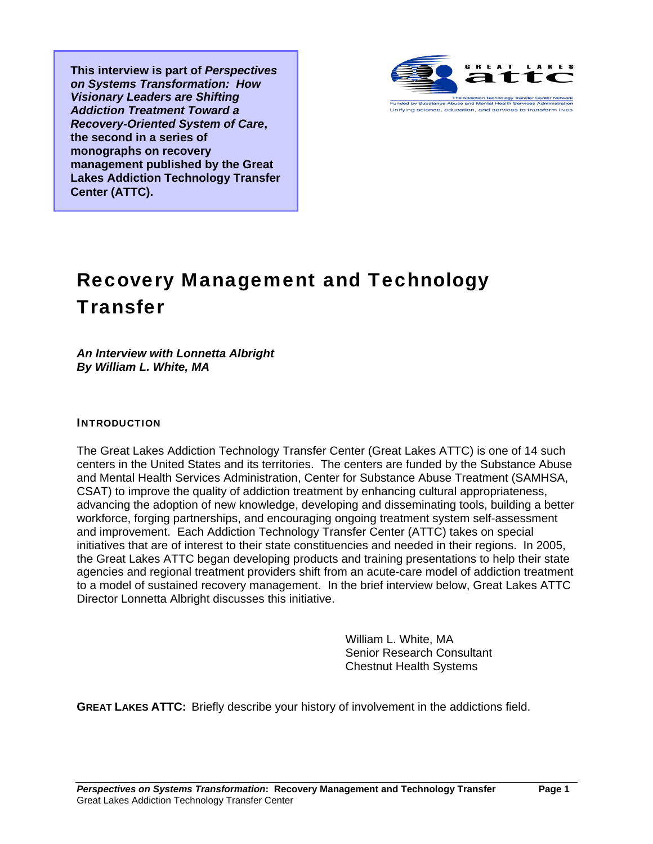**This interview is part of** *Perspectives on Systems Transformation: How Visionary Leaders are Shifting Addiction Treatment Toward a Recovery-Oriented System of Care***, the second in a series of monographs on recovery management published by the Great Lakes Addiction Technology Transfer Center (ATTC).** 



## Recovery Management and Technology **Transfer**

## *An Interview with Lonnetta Albright By William L. White, MA*

## INTRODUCTION

The Great Lakes Addiction Technology Transfer Center (Great Lakes ATTC) is one of 14 such centers in the United States and its territories. The centers are funded by the Substance Abuse and Mental Health Services Administration, Center for Substance Abuse Treatment (SAMHSA, CSAT) to improve the quality of addiction treatment by enhancing cultural appropriateness, advancing the adoption of new knowledge, developing and disseminating tools, building a better workforce, forging partnerships, and encouraging ongoing treatment system self-assessment and improvement. Each Addiction Technology Transfer Center (ATTC) takes on special initiatives that are of interest to their state constituencies and needed in their regions. In 2005, the Great Lakes ATTC began developing products and training presentations to help their state agencies and regional treatment providers shift from an acute-care model of addiction treatment to a model of sustained recovery management. In the brief interview below, Great Lakes ATTC Director Lonnetta Albright discusses this initiative.

> William L. White, MA Senior Research Consultant Chestnut Health Systems

**GREAT LAKES ATTC:** Briefly describe your history of involvement in the addictions field.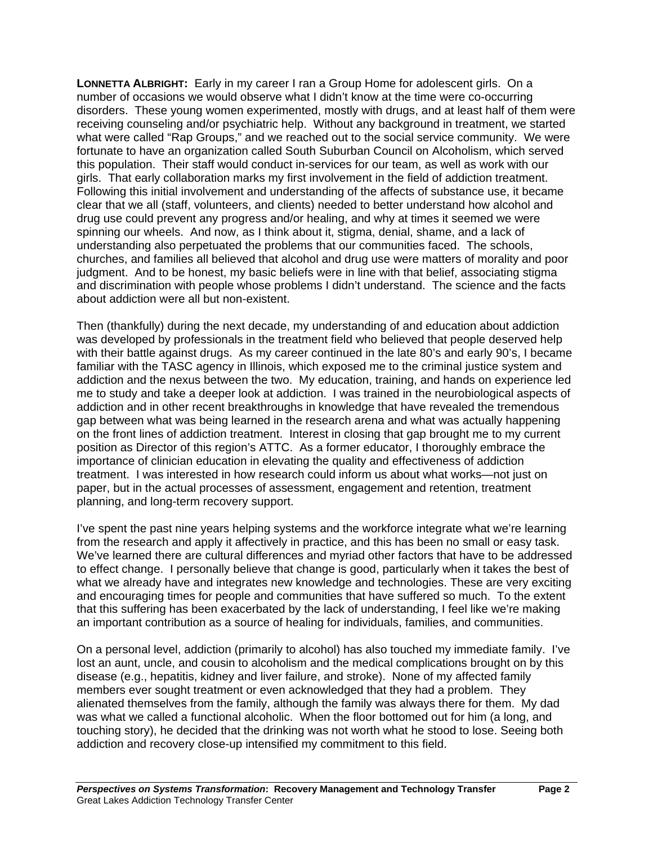**LONNETTA ALBRIGHT:** Early in my career I ran a Group Home for adolescent girls. On a number of occasions we would observe what I didn't know at the time were co-occurring disorders. These young women experimented, mostly with drugs, and at least half of them were receiving counseling and/or psychiatric help. Without any background in treatment, we started what were called "Rap Groups," and we reached out to the social service community. We were fortunate to have an organization called South Suburban Council on Alcoholism, which served this population. Their staff would conduct in-services for our team, as well as work with our girls. That early collaboration marks my first involvement in the field of addiction treatment. Following this initial involvement and understanding of the affects of substance use, it became clear that we all (staff, volunteers, and clients) needed to better understand how alcohol and drug use could prevent any progress and/or healing, and why at times it seemed we were spinning our wheels. And now, as I think about it, stigma, denial, shame, and a lack of understanding also perpetuated the problems that our communities faced. The schools, churches, and families all believed that alcohol and drug use were matters of morality and poor judgment. And to be honest, my basic beliefs were in line with that belief, associating stigma and discrimination with people whose problems I didn't understand. The science and the facts about addiction were all but non-existent.

Then (thankfully) during the next decade, my understanding of and education about addiction was developed by professionals in the treatment field who believed that people deserved help with their battle against drugs. As my career continued in the late 80's and early 90's, I became familiar with the TASC agency in Illinois, which exposed me to the criminal justice system and addiction and the nexus between the two. My education, training, and hands on experience led me to study and take a deeper look at addiction. I was trained in the neurobiological aspects of addiction and in other recent breakthroughs in knowledge that have revealed the tremendous gap between what was being learned in the research arena and what was actually happening on the front lines of addiction treatment. Interest in closing that gap brought me to my current position as Director of this region's ATTC. As a former educator, I thoroughly embrace the importance of clinician education in elevating the quality and effectiveness of addiction treatment. I was interested in how research could inform us about what works—not just on paper, but in the actual processes of assessment, engagement and retention, treatment planning, and long-term recovery support.

I've spent the past nine years helping systems and the workforce integrate what we're learning from the research and apply it affectively in practice, and this has been no small or easy task. We've learned there are cultural differences and myriad other factors that have to be addressed to effect change. I personally believe that change is good, particularly when it takes the best of what we already have and integrates new knowledge and technologies. These are very exciting and encouraging times for people and communities that have suffered so much. To the extent that this suffering has been exacerbated by the lack of understanding, I feel like we're making an important contribution as a source of healing for individuals, families, and communities.

On a personal level, addiction (primarily to alcohol) has also touched my immediate family. I've lost an aunt, uncle, and cousin to alcoholism and the medical complications brought on by this disease (e.g., hepatitis, kidney and liver failure, and stroke). None of my affected family members ever sought treatment or even acknowledged that they had a problem. They alienated themselves from the family, although the family was always there for them. My dad was what we called a functional alcoholic. When the floor bottomed out for him (a long, and touching story), he decided that the drinking was not worth what he stood to lose. Seeing both addiction and recovery close-up intensified my commitment to this field.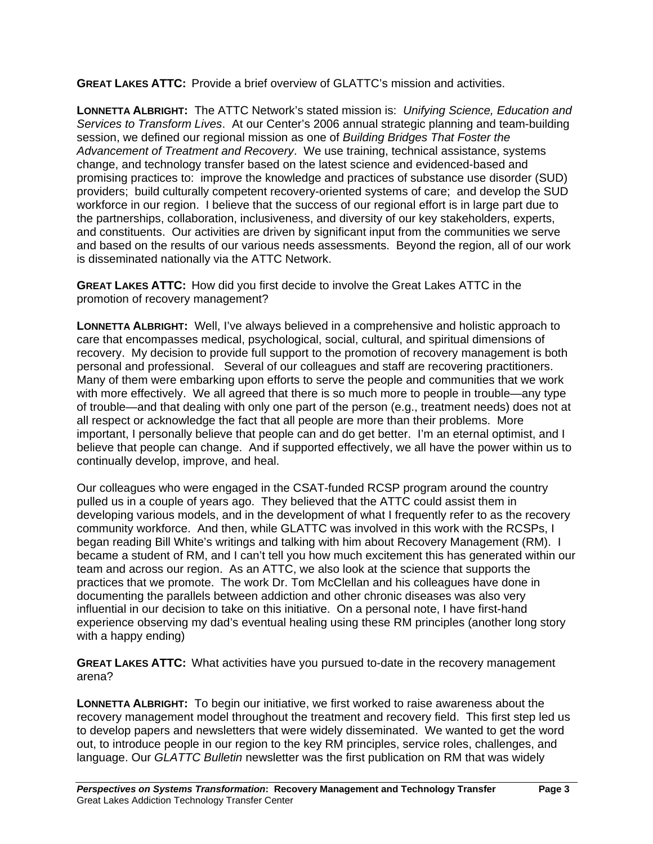**GREAT LAKES ATTC:** Provide a brief overview of GLATTC's mission and activities.

**LONNETTA ALBRIGHT:** The ATTC Network's stated mission is: *Unifying Science, Education and Services to Transform Lives*. At our Center's 2006 annual strategic planning and team-building session, we defined our regional mission as one of *Building Bridges That Foster the Advancement of Treatment and Recovery*. We use training, technical assistance, systems change, and technology transfer based on the latest science and evidenced-based and promising practices to: improve the knowledge and practices of substance use disorder (SUD) providers; build culturally competent recovery-oriented systems of care; and develop the SUD workforce in our region. I believe that the success of our regional effort is in large part due to the partnerships, collaboration, inclusiveness, and diversity of our key stakeholders, experts, and constituents. Our activities are driven by significant input from the communities we serve and based on the results of our various needs assessments. Beyond the region, all of our work is disseminated nationally via the ATTC Network.

**GREAT LAKES ATTC:** How did you first decide to involve the Great Lakes ATTC in the promotion of recovery management?

**LONNETTA ALBRIGHT:** Well, I've always believed in a comprehensive and holistic approach to care that encompasses medical, psychological, social, cultural, and spiritual dimensions of recovery. My decision to provide full support to the promotion of recovery management is both personal and professional. Several of our colleagues and staff are recovering practitioners. Many of them were embarking upon efforts to serve the people and communities that we work with more effectively. We all agreed that there is so much more to people in trouble—any type of trouble—and that dealing with only one part of the person (e.g., treatment needs) does not at all respect or acknowledge the fact that all people are more than their problems. More important, I personally believe that people can and do get better. I'm an eternal optimist, and I believe that people can change. And if supported effectively, we all have the power within us to continually develop, improve, and heal.

Our colleagues who were engaged in the CSAT-funded RCSP program around the country pulled us in a couple of years ago. They believed that the ATTC could assist them in developing various models, and in the development of what I frequently refer to as the recovery community workforce. And then, while GLATTC was involved in this work with the RCSPs, I began reading Bill White's writings and talking with him about Recovery Management (RM). I became a student of RM, and I can't tell you how much excitement this has generated within our team and across our region. As an ATTC, we also look at the science that supports the practices that we promote. The work Dr. Tom McClellan and his colleagues have done in documenting the parallels between addiction and other chronic diseases was also very influential in our decision to take on this initiative. On a personal note, I have first-hand experience observing my dad's eventual healing using these RM principles (another long story with a happy ending)

**GREAT LAKES ATTC:** What activities have you pursued to-date in the recovery management arena?

**LONNETTA ALBRIGHT:** To begin our initiative, we first worked to raise awareness about the recovery management model throughout the treatment and recovery field. This first step led us to develop papers and newsletters that were widely disseminated. We wanted to get the word out, to introduce people in our region to the key RM principles, service roles, challenges, and language. Our *GLATTC Bulletin* newsletter was the first publication on RM that was widely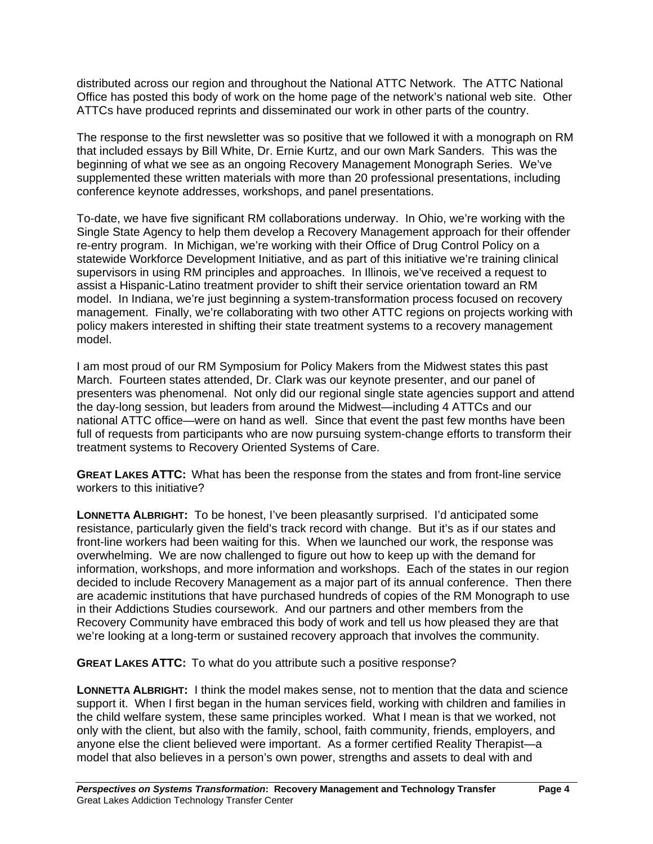distributed across our region and throughout the National ATTC Network. The ATTC National Office has posted this body of work on the home page of the network's national web site. Other ATTCs have produced reprints and disseminated our work in other parts of the country.

The response to the first newsletter was so positive that we followed it with a monograph on RM that included essays by Bill White, Dr. Ernie Kurtz, and our own Mark Sanders. This was the beginning of what we see as an ongoing Recovery Management Monograph Series. We've supplemented these written materials with more than 20 professional presentations, including conference keynote addresses, workshops, and panel presentations.

To-date, we have five significant RM collaborations underway. In Ohio, we're working with the Single State Agency to help them develop a Recovery Management approach for their offender re-entry program. In Michigan, we're working with their Office of Drug Control Policy on a statewide Workforce Development Initiative, and as part of this initiative we're training clinical supervisors in using RM principles and approaches. In Illinois, we've received a request to assist a Hispanic-Latino treatment provider to shift their service orientation toward an RM model. In Indiana, we're just beginning a system-transformation process focused on recovery management. Finally, we're collaborating with two other ATTC regions on projects working with policy makers interested in shifting their state treatment systems to a recovery management model.

I am most proud of our RM Symposium for Policy Makers from the Midwest states this past March. Fourteen states attended, Dr. Clark was our keynote presenter, and our panel of presenters was phenomenal. Not only did our regional single state agencies support and attend the day-long session, but leaders from around the Midwest—including 4 ATTCs and our national ATTC office—were on hand as well. Since that event the past few months have been full of requests from participants who are now pursuing system-change efforts to transform their treatment systems to Recovery Oriented Systems of Care.

**GREAT LAKES ATTC:** What has been the response from the states and from front-line service workers to this initiative?

**LONNETTA ALBRIGHT:** To be honest, I've been pleasantly surprised. I'd anticipated some resistance, particularly given the field's track record with change. But it's as if our states and front-line workers had been waiting for this. When we launched our work, the response was overwhelming. We are now challenged to figure out how to keep up with the demand for information, workshops, and more information and workshops. Each of the states in our region decided to include Recovery Management as a major part of its annual conference. Then there are academic institutions that have purchased hundreds of copies of the RM Monograph to use in their Addictions Studies coursework. And our partners and other members from the Recovery Community have embraced this body of work and tell us how pleased they are that we're looking at a long-term or sustained recovery approach that involves the community.

**GREAT LAKES ATTC:** To what do you attribute such a positive response?

**LONNETTA ALBRIGHT:** I think the model makes sense, not to mention that the data and science support it. When I first began in the human services field, working with children and families in the child welfare system, these same principles worked. What I mean is that we worked, not only with the client, but also with the family, school, faith community, friends, employers, and anyone else the client believed were important. As a former certified Reality Therapist—a model that also believes in a person's own power, strengths and assets to deal with and